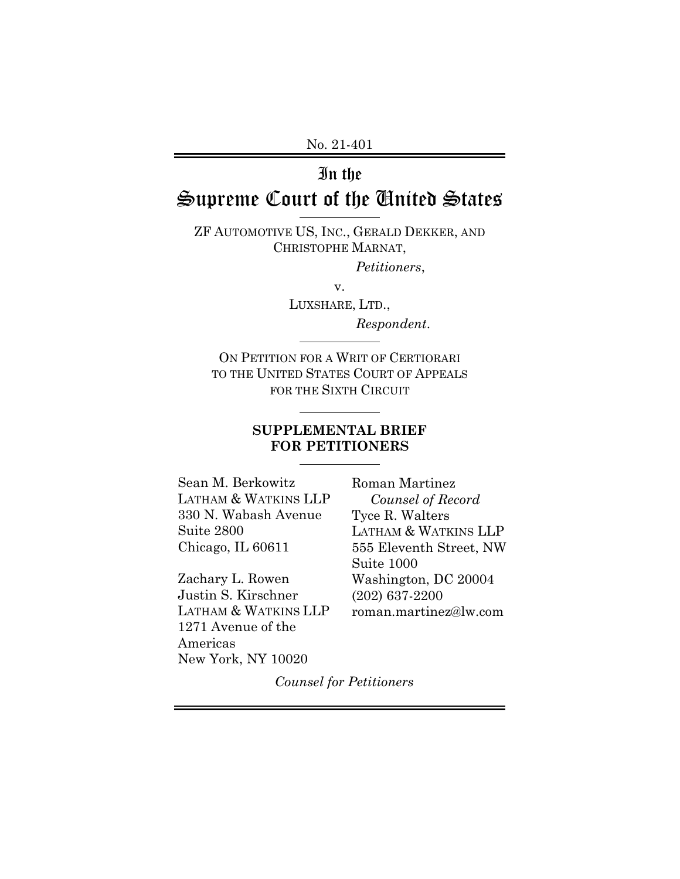No. 21-401

## In the

# Supreme Court of the United States

ZF AUTOMOTIVE US, INC., GERALD DEKKER, AND CHRISTOPHE MARNAT,

*Petitioners*,

v.

LUXSHARE, LTD., *Respondent*.

ON PETITION FOR A WRIT OF CERTIORARI TO THE UNITED STATES COURT OF APPEALS FOR THE SIXTH CIRCUIT

l

#### **SUPPLEMENTAL BRIEF FOR PETITIONERS**

Sean M. Berkowitz LATHAM & WATKINS LLP 330 N. Wabash Avenue Suite 2800 Chicago, IL 60611

Zachary L. Rowen Justin S. Kirschner LATHAM & WATKINS LLP 1271 Avenue of the Americas New York, NY 10020

Roman Martinez *Counsel of Record* Tyce R. Walters LATHAM & WATKINS LLP 555 Eleventh Street, NW Suite 1000 Washington, DC 20004 (202) 637-2200 roman.martinez@lw.com

*Counsel for Petitioners*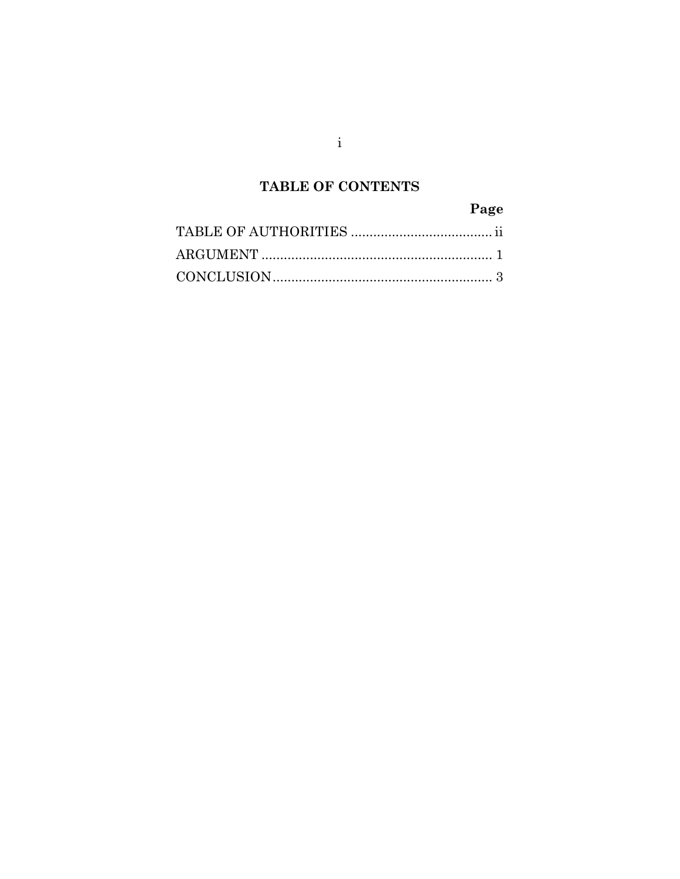## TABLE OF CONTENTS

## Page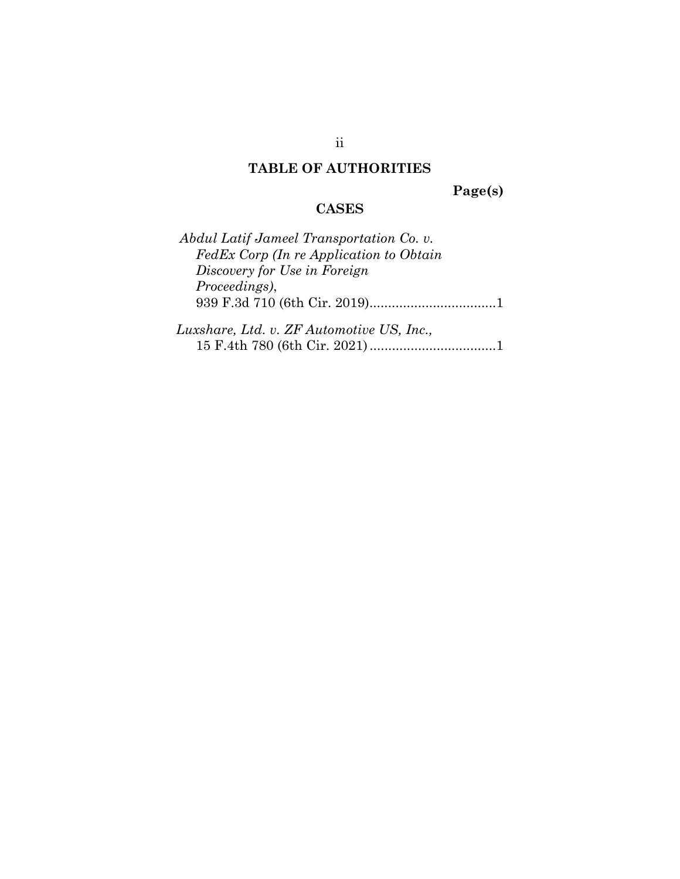### **TABLE OF AUTHORITIES**

**Page(s)** 

### **CASES**

| Abdul Latif Jameel Transportation Co. v.  |  |
|-------------------------------------------|--|
| FedEx Corp (In re Application to Obtain   |  |
| Discovery for Use in Foreign              |  |
| <i>Proceedings</i> ),                     |  |
|                                           |  |
|                                           |  |
| Luxshare, Ltd. v. ZF Automotive US, Inc., |  |
|                                           |  |

ii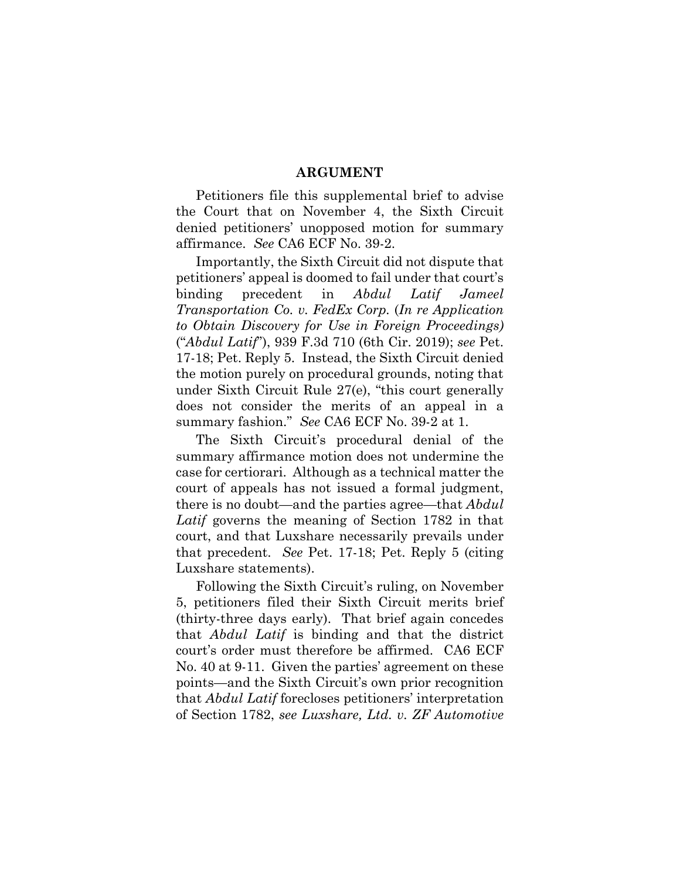#### **ARGUMENT**

Petitioners file this supplemental brief to advise the Court that on November 4, the Sixth Circuit denied petitioners' unopposed motion for summary affirmance. *See* CA6 ECF No. 39-2.

Importantly, the Sixth Circuit did not dispute that petitioners' appeal is doomed to fail under that court's binding precedent in *Abdul Latif Jameel Transportation Co. v. FedEx Corp.* (*In re Application to Obtain Discovery for Use in Foreign Proceedings)* ("*Abdul Latif*"), 939 F.3d 710 (6th Cir. 2019); *see* Pet. 17-18; Pet. Reply 5. Instead, the Sixth Circuit denied the motion purely on procedural grounds, noting that under Sixth Circuit Rule 27(e), "this court generally does not consider the merits of an appeal in a summary fashion." *See* CA6 ECF No. 39-2 at 1.

The Sixth Circuit's procedural denial of the summary affirmance motion does not undermine the case for certiorari. Although as a technical matter the court of appeals has not issued a formal judgment, there is no doubt—and the parties agree—that *Abdul Latif* governs the meaning of Section 1782 in that court, and that Luxshare necessarily prevails under that precedent. *See* Pet. 17-18; Pet. Reply 5 (citing Luxshare statements).

Following the Sixth Circuit's ruling, on November 5, petitioners filed their Sixth Circuit merits brief (thirty-three days early). That brief again concedes that *Abdul Latif* is binding and that the district court's order must therefore be affirmed. CA6 ECF No. 40 at 9-11. Given the parties' agreement on these points—and the Sixth Circuit's own prior recognition that *Abdul Latif* forecloses petitioners' interpretation of Section 1782, *see Luxshare, Ltd. v. ZF Automotive*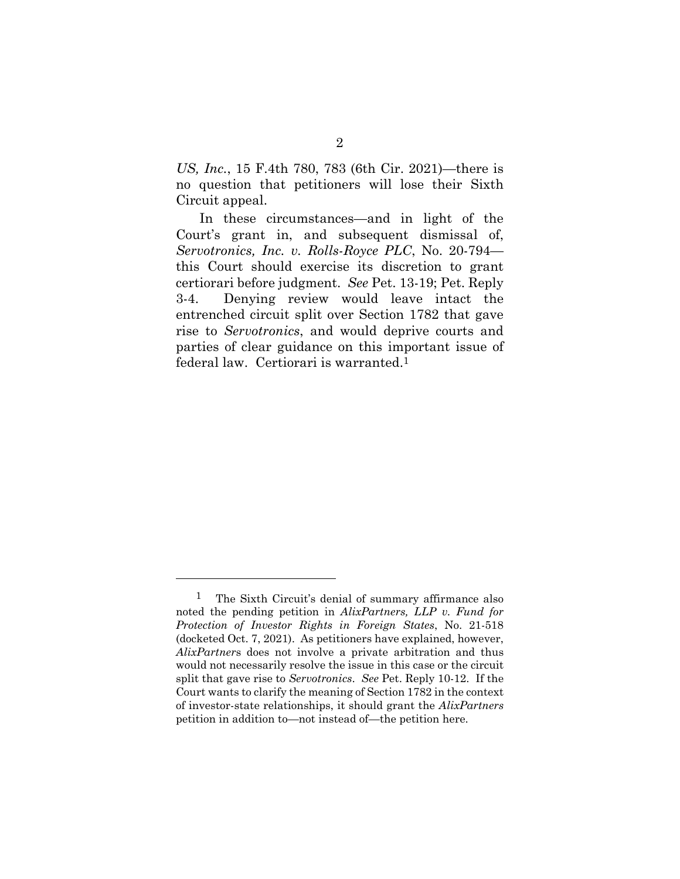*US, Inc.*, 15 F.4th 780, 783 (6th Cir. 2021)—there is no question that petitioners will lose their Sixth Circuit appeal.

 In these circumstances—and in light of the Court's grant in, and subsequent dismissal of, *Servotronics, Inc. v. Rolls-Royce PLC*, No. 20-794 this Court should exercise its discretion to grant certiorari before judgment. *See* Pet. 13-19; Pet. Reply 3-4. Denying review would leave intact the entrenched circuit split over Section 1782 that gave rise to *Servotronics*, and would deprive courts and parties of clear guidance on this important issue of federal law. Certiorari is warranted.1

l

<sup>1</sup> The Sixth Circuit's denial of summary affirmance also noted the pending petition in *AlixPartners, LLP v. Fund for Protection of Investor Rights in Foreign States*, No. 21-518 (docketed Oct. 7, 2021). As petitioners have explained, however, *AlixPartner*s does not involve a private arbitration and thus would not necessarily resolve the issue in this case or the circuit split that gave rise to *Servotronics*. *See* Pet. Reply 10-12. If the Court wants to clarify the meaning of Section 1782 in the context of investor-state relationships, it should grant the *AlixPartners* petition in addition to—not instead of—the petition here.